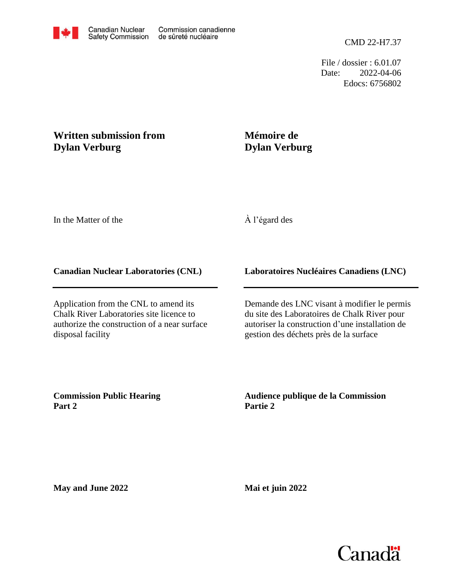CMD 22-H7.37

File / dossier : 6.01.07 Date: 2022-04-06 Edocs: 6756802

# **Written submission from Dylan Verburg**

## **Mémoire de Dylan Verburg**

In the Matter of the

# À l'égard des

### **Canadian Nuclear Laboratories (CNL)**

Application from the CNL to amend its Chalk River Laboratories site licence to authorize the construction of a near surface disposal facility

## **Laboratoires Nucléaires Canadiens (LNC)**

Demande des LNC visant à modifier le permis du site des Laboratoires de Chalk River pour autoriser la construction d'une installation de gestion des déchets près de la surface

**Commission Public Hearing Part 2**

**Audience publique de la Commission Partie 2**

**May and June 2022**

**Mai et juin 2022**